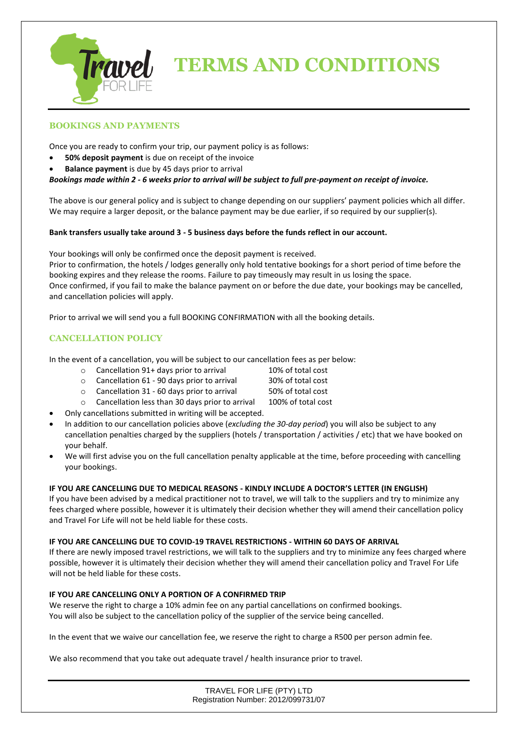

# **TERMS AND CONDITIONS**

# **BOOKINGS AND PAYMENTS**

Once you are ready to confirm your trip, our payment policy is as follows:

- **50% deposit payment** is due on receipt of the invoice
- **Balance payment** is due by 45 days prior to arrival

### *Bookings made within 2 - 6 weeks prior to arrival will be subject to full pre-payment on receipt of invoice.*

The above is our general policy and is subject to change depending on our suppliers' payment policies which all differ. We may require a larger deposit, or the balance payment may be due earlier, if so required by our supplier(s).

#### **Bank transfers usually take around 3 - 5 business days before the funds reflect in our account.**

Your bookings will only be confirmed once the deposit payment is received.

Prior to confirmation, the hotels / lodges generally only hold tentative bookings for a short period of time before the booking expires and they release the rooms. Failure to pay timeously may result in us losing the space. Once confirmed, if you fail to make the balance payment on or before the due date, your bookings may be cancelled, and cancellation policies will apply.

Prior to arrival we will send you a full BOOKING CONFIRMATION with all the booking details.

# **CANCELLATION POLICY**

In the event of a cancellation, you will be subject to our cancellation fees as per below:

- o Cancellation 91+ days prior to arrival 10% of total cost
- o Cancellation 61 90 days prior to arrival 30% of total cost
- o Cancellation 31 60 days prior to arrival 50% of total cost
- o Cancellation less than 30 days prior to arrival 100% of total cost
- Only cancellations submitted in writing will be accepted.
- In addition to our cancellation policies above (*excluding the 30-day period*) you will also be subject to any cancellation penalties charged by the suppliers (hotels / transportation / activities / etc) that we have booked on your behalf.
- We will first advise you on the full cancellation penalty applicable at the time, before proceeding with cancelling your bookings.

### **IF YOU ARE CANCELLING DUE TO MEDICAL REASONS - KINDLY INCLUDE A DOCTOR'S LETTER (IN ENGLISH)**

If you have been advised by a medical practitioner not to travel, we will talk to the suppliers and try to minimize any fees charged where possible, however it is ultimately their decision whether they will amend their cancellation policy and Travel For Life will not be held liable for these costs.

#### **IF YOU ARE CANCELLING DUE TO COVID-19 TRAVEL RESTRICTIONS - WITHIN 60 DAYS OF ARRIVAL**

If there are newly imposed travel restrictions, we will talk to the suppliers and try to minimize any fees charged where possible, however it is ultimately their decision whether they will amend their cancellation policy and Travel For Life will not be held liable for these costs.

### **IF YOU ARE CANCELLING ONLY A PORTION OF A CONFIRMED TRIP**

We reserve the right to charge a 10% admin fee on any partial cancellations on confirmed bookings. You will also be subject to the cancellation policy of the supplier of the service being cancelled.

In the event that we waive our cancellation fee, we reserve the right to charge a R500 per person admin fee.

We also recommend that you take out adequate travel / health insurance prior to travel.

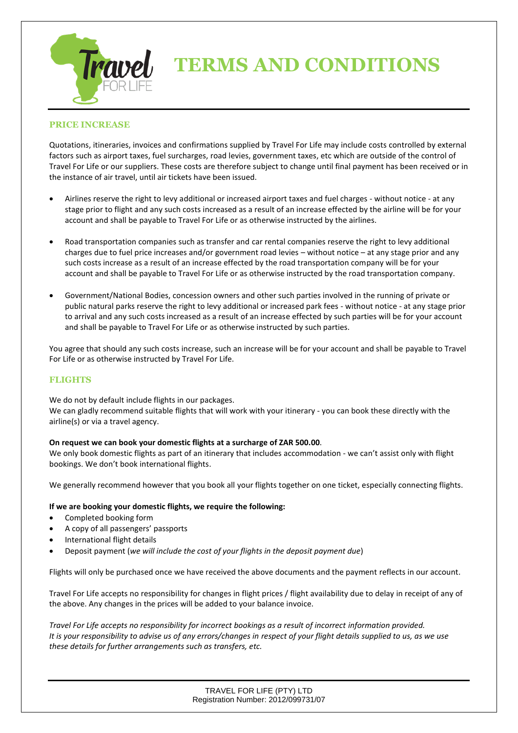

# **TERMS AND CONDITIONS**

#### **PRICE INCREASE**

Quotations, itineraries, invoices and confirmations supplied by Travel For Life may include costs controlled by external factors such as airport taxes, fuel surcharges, road levies, government taxes, etc which are outside of the control of Travel For Life or our suppliers. These costs are therefore subject to change until final payment has been received or in the instance of air travel, until air tickets have been issued.

- Airlines reserve the right to levy additional or increased airport taxes and fuel charges without notice at any stage prior to flight and any such costs increased as a result of an increase effected by the airline will be for your account and shall be payable to Travel For Life or as otherwise instructed by the airlines.
- Road transportation companies such as transfer and car rental companies reserve the right to levy additional charges due to fuel price increases and/or government road levies – without notice – at any stage prior and any such costs increase as a result of an increase effected by the road transportation company will be for your account and shall be payable to Travel For Life or as otherwise instructed by the road transportation company.
- Government/National Bodies, concession owners and other such parties involved in the running of private or public natural parks reserve the right to levy additional or increased park fees - without notice - at any stage prior to arrival and any such costs increased as a result of an increase effected by such parties will be for your account and shall be payable to Travel For Life or as otherwise instructed by such parties.

You agree that should any such costs increase, such an increase will be for your account and shall be payable to Travel For Life or as otherwise instructed by Travel For Life.

#### **FLIGHTS**

We do not by default include flights in our packages. We can gladly recommend suitable flights that will work with your itinerary - you can book these directly with the airline(s) or via a travel agency.

#### **On request we can book your domestic flights at a surcharge of ZAR 500.00**.

We only book domestic flights as part of an itinerary that includes accommodation - we can't assist only with flight bookings. We don't book international flights.

We generally recommend however that you book all your flights together on one ticket, especially connecting flights.

#### **If we are booking your domestic flights, we require the following:**

- Completed booking form
- A copy of all passengers' passports
- International flight details
- Deposit payment (*we will include the cost of your flights in the deposit payment due*)

Flights will only be purchased once we have received the above documents and the payment reflects in our account.

Travel For Life accepts no responsibility for changes in flight prices / flight availability due to delay in receipt of any of the above. Any changes in the prices will be added to your balance invoice.

*Travel For Life accepts no responsibility for incorrect bookings as a result of incorrect information provided. It is your responsibility to advise us of any errors/changes in respect of your flight details supplied to us, as we use these details for further arrangements such as transfers, etc.* 

> TRAVEL FOR LIFE (PTY) LTD Registration Number: 2012/099731/07